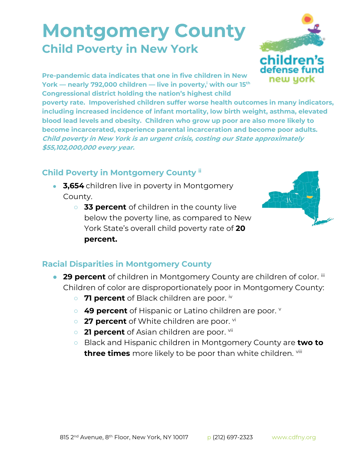## **Montgomery County Child Poverty in New York**



**Pre-pandemic data indicates that one in five children in New York — nearly 792,000 children — live in poverty,<sup>i</sup> with our 15th Congressional district holding the nation's highest child** 

**poverty rate. Impoverished children suffer worse health outcomes in many indicators, including increased incidence of infant mortality, low birth weight, asthma, elevated blood lead levels and obesity. Children who grow up poor are also more likely to become incarcerated, experience parental incarceration and become poor adults. Child poverty in New York is an urgent crisis, costing our State approximately \$55,102,000,000 every year.**

## **Child Poverty in Montgomery County ii**

- **3,654** children live in poverty in Montgomery County.
	- **33 percent** of children in the county live below the poverty line, as compared to New York State's overall child poverty rate of **20 percent.**



## **Racial Disparities in Montgomery County**

- **29 percent** of children in Montgomery County are children of color. iii Children of color are disproportionately poor in Montgomery County:
	- 71 percent of Black children are poor. <sup>iv</sup>
	- 49 percent of Hispanic or Latino children are poor. **v**
	- 27 percent of White children are poor. <sup>vi</sup>
	- **21 percent** of Asian children are poor. <sup>vii</sup>
	- Black and Hispanic children in Montgomery County are **two to three times** more likely to be poor than white children. Vill